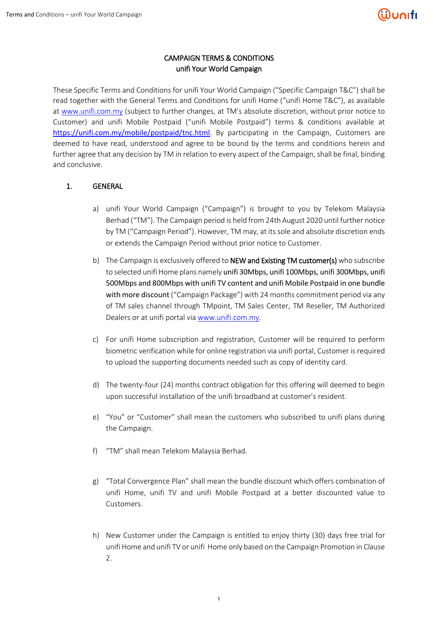## CAMPAIGN TERMS & CONDITIONS unifi Your World Campaign

These Specific Terms and Conditions for unifi Your World Campaign ("Specific Campaign T&C") shall be read together with the General Terms and Conditions for unifi Home ("unifi Home T&C"), as available at [www.unifi.com.my](http://www.unifi.com.my/) (subject to further changes, at TM's absolute discretion, without prior notice to Customer) and unifi Mobile Postpaid ("unifi Mobile Postpaid") terms & conditions available at <https://unifi.com.my/mobile/postpaid/tnc.html>. By participating in the Campaign, Customers are deemed to have read, understood and agree to be bound by the terms and conditions herein and further agree that any decision by TM in relation to every aspect of the Campaign, shall be final, binding and conclusive.

### 1. GENERAL

- a) unifi Your World Campaign ("Campaign") is brought to you by Telekom Malaysia Berhad ("TM"). The Campaign period is held from 24th August 2020 until further notice by TM ("Campaign Period"). However, TM may, at its sole and absolute discretion ends or extends the Campaign Period without prior notice to Customer.
- b) The Campaign is exclusively offered to **NEW and Existing TM customer(s)** who subscribe to selected unifi Home plans namely unifi 30Mbps, unifi 100Mbps, unifi 300Mbps, unifi 500Mbps and 800Mbps with unifi TV content and unifi Mobile Postpaid in one bundle with more discount ("Campaign Package") with 24 months commitment period via any of TM sales channel through TMpoint, TM Sales Center, TM Reseller, TM Authorized Dealers or at unifi portal via [www.unifi.com.my.](http://www.unifi.com.my/)
- c) For unifi Home subscription and registration, Customer will be required to perform biometric verification while for online registration via unifi portal, Customer is required to upload the supporting documents needed such as copy of identity card.
- d) The twenty-four (24) months contract obligation for this offering will deemed to begin upon successful installation of the unifi broadband at customer's resident.
- e) "You" or "Customer" shall mean the customers who subscribed to unifi plans during the Campaign.
- f) "TM" shall mean Telekom Malaysia Berhad.
- g) "Total Convergence Plan" shall mean the bundle discount which offers combination of unifi Home, unifi TV and unifi Mobile Postpaid at a better discounted value to Customers.
- h) New Customer under the Campaign is entitled to enjoy thirty (30) days free trial for unifi Home and unifi TV or unifi Home only based on the Campaign Promotion in Clause 2.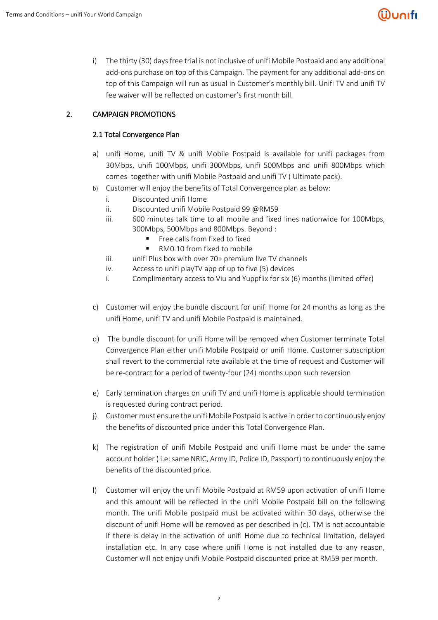# <u>Wunıfı</u>

i) The thirty (30) days free trial is not inclusive of unifi Mobile Postpaid and any additional add-ons purchase on top of this Campaign. The payment for any additional add-ons on top of this Campaign will run as usual in Customer's monthly bill. Unifi TV and unifi TV fee waiver will be reflected on customer's first month bill.

# 2. CAMPAIGN PROMOTIONS

### 2.1 Total Convergence Plan

- a) unifi Home, unifi TV & unifi Mobile Postpaid is available for unifi packages from 30Mbps, unifi 100Mbps, unifi 300Mbps, unifi 500Mbps and unifi 800Mbps which comes together with unifi Mobile Postpaid and unifi TV ( Ultimate pack).
- b) Customer will enjoy the benefits of Total Convergence plan as below:
	- i. Discounted unifi Home
	- ii. Discounted unifi Mobile Postpaid 99 @RM59
	- iii. 600 minutes talk time to all mobile and fixed lines nationwide for 100Mbps, 300Mbps, 500Mbps and 800Mbps. Beyond :
		- **Filter** Free calls from fixed to fixed
		- RM0.10 from fixed to mobile
	- iii. unifi Plus box with over 70+ premium live TV channels
	- iv. Access to unifi playTV app of up to five (5) devices
	- i. Complimentary access to Viu and Yuppflix for six (6) months (limited offer)
- c) Customer will enjoy the bundle discount for unifi Home for 24 months as long as the unifi Home, unifi TV and unifi Mobile Postpaid is maintained.
- d) The bundle discount for unifi Home will be removed when Customer terminate Total Convergence Plan either unifi Mobile Postpaid or unifi Home. Customer subscription shall revert to the commercial rate available at the time of request and Customer will be re-contract for a period of twenty-four (24) months upon such reversion
- e) Early termination charges on unifi TV and unifi Home is applicable should termination is requested during contract period.
- $\ddot{H}$  Customer must ensure the unifi Mobile Postpaid is active in order to continuously enjoy the benefits of discounted price under this Total Convergence Plan.
- k) The registration of unifi Mobile Postpaid and unifi Home must be under the same account holder ( i.e: same NRIC, Army ID, Police ID, Passport) to continuously enjoy the benefits of the discounted price.
- l) Customer will enjoy the unifi Mobile Postpaid at RM59 upon activation of unifi Home and this amount will be reflected in the unifi Mobile Postpaid bill on the following month. The unifi Mobile postpaid must be activated within 30 days, otherwise the discount of unifi Home will be removed as per described in (c). TM is not accountable if there is delay in the activation of unifi Home due to technical limitation, delayed installation etc. In any case where unifi Home is not installed due to any reason, Customer will not enjoy unifi Mobile Postpaid discounted price at RM59 per month.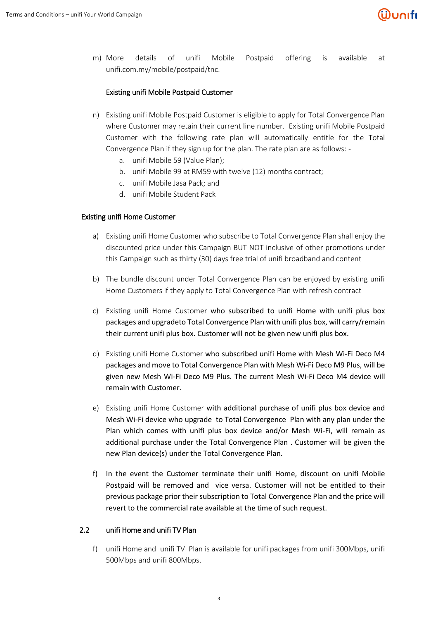m) More details of unifi Mobile Postpaid offering is available at unifi.com.my/mobile/postpaid/tnc.

### Existing unifi Mobile Postpaid Customer

- n) Existing unifi Mobile Postpaid Customer is eligible to apply for Total Convergence Plan where Customer may retain their current line number. Existing unifi Mobile Postpaid Customer with the following rate plan will automatically entitle for the Total Convergence Plan if they sign up for the plan. The rate plan are as follows:
	- a. unifi Mobile 59 (Value Plan);
	- b. unifi Mobile 99 at RM59 with twelve (12) months contract;
	- c. unifi Mobile Jasa Pack; and
	- d. unifi Mobile Student Pack

#### Existing unifi Home Customer

- a) Existing unifi Home Customer who subscribe to Total Convergence Plan shall enjoy the discounted price under this Campaign BUT NOT inclusive of other promotions under this Campaign such as thirty (30) days free trial of unifi broadband and content
- b) The bundle discount under Total Convergence Plan can be enjoyed by existing unifi Home Customers if they apply to Total Convergence Plan with refresh contract
- c) Existing unifi Home Customer who subscribed to unifi Home with unifi plus box packages and upgradeto Total Convergence Plan with unifi plus box, will carry/remain their current unifi plus box. Customer will not be given new unifi plus box.
- d) Existing unifi Home Customer who subscribed unifi Home with Mesh Wi-Fi Deco M4 packages and move to Total Convergence Plan with Mesh Wi-Fi Deco M9 Plus, will be given new Mesh Wi-Fi Deco M9 Plus. The current Mesh Wi-Fi Deco M4 device will remain with Customer.
- e) Existing unifi Home Customer with additional purchase of unifi plus box device and Mesh Wi-Fi device who upgrade to Total Convergence Plan with any plan under the Plan which comes with unifi plus box device and/or Mesh Wi-Fi, will remain as additional purchase under the Total Convergence Plan . Customer will be given the new Plan device(s) under the Total Convergence Plan.
- f) In the event the Customer terminate their unifi Home, discount on unifi Mobile Postpaid will be removed and vice versa. Customer will not be entitled to their previous package prior their subscription to Total Convergence Plan and the price will revert to the commercial rate available at the time of such request.

#### 2.2 unifi Home and unifi TV Plan

f) unifi Home and unifi TV Plan is available for unifi packages from unifi 300Mbps, unifi 500Mbps and unifi 800Mbps.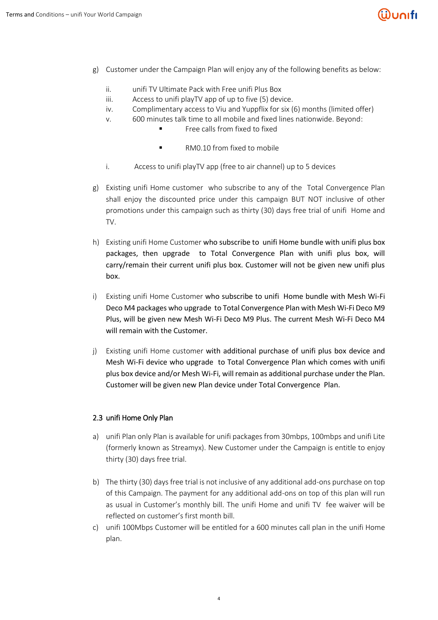# ີຟິບດເfເ

- g) Customer under the Campaign Plan will enjoy any of the following benefits as below:
	- ii. unifi TV Ultimate Pack with Free unifi Plus Box
	- iii. Access to unifi playTV app of up to five (5) device.
	- iv. Complimentary access to Viu and Yuppflix for six (6) months (limited offer)
	- v. 600 minutes talk time to all mobile and fixed lines nationwide. Beyond:
		- Free calls from fixed to fixed
		- RM0.10 from fixed to mobile
	- i. Access to unifi playTV app (free to air channel) up to 5 devices
- g) Existing unifi Home customer who subscribe to any of the Total Convergence Plan shall enjoy the discounted price under this campaign BUT NOT inclusive of other promotions under this campaign such as thirty (30) days free trial of unifi Home and TV.
- h) Existing unifi Home Customer who subscribe to unifi Home bundle with unifi plus box packages, then upgrade to Total Convergence Plan with unifi plus box, will carry/remain their current unifi plus box. Customer will not be given new unifi plus box.
- i) Existing unifi Home Customer who subscribe to unifi Home bundle with Mesh Wi-Fi Deco M4 packages who upgrade to Total Convergence Plan with Mesh Wi-Fi Deco M9 Plus, will be given new Mesh Wi-Fi Deco M9 Plus. The current Mesh Wi-Fi Deco M4 will remain with the Customer.
- j) Existing unifi Home customer with additional purchase of unifi plus box device and Mesh Wi-Fi device who upgrade to Total Convergence Plan which comes with unifi plus box device and/or Mesh Wi-Fi, will remain as additional purchase under the Plan. Customer will be given new Plan device under Total Convergence Plan.

#### 2.3 unifi Home Only Plan

- a) unifi Plan only Plan is available for unifi packages from 30mbps, 100mbps and unifi Lite (formerly known as Streamyx). New Customer under the Campaign is entitle to enjoy thirty (30) days free trial.
- b) The thirty (30) days free trial is not inclusive of any additional add-ons purchase on top of this Campaign. The payment for any additional add-ons on top of this plan will run as usual in Customer's monthly bill. The unifi Home and unifi TV fee waiver will be reflected on customer's first month bill.
- c) unifi 100Mbps Customer will be entitled for a 600 minutes call plan in the unifi Home plan.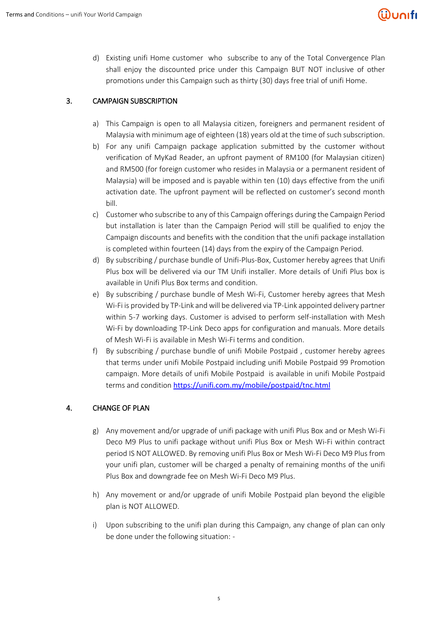d) Existing unifi Home customer who subscribe to any of the Total Convergence Plan shall enjoy the discounted price under this Campaign BUT NOT inclusive of other promotions under this Campaign such as thirty (30) days free trial of unifi Home.

# 3. CAMPAIGN SUBSCRIPTION

- a) This Campaign is open to all Malaysia citizen, foreigners and permanent resident of Malaysia with minimum age of eighteen (18) years old at the time of such subscription.
- b) For any unifi Campaign package application submitted by the customer without verification of MyKad Reader, an upfront payment of RM100 (for Malaysian citizen) and RM500 (for foreign customer who resides in Malaysia or a permanent resident of Malaysia) will be imposed and is payable within ten (10) days effective from the unifi activation date. The upfront payment will be reflected on customer's second month bill.
- c) Customer who subscribe to any of this Campaign offerings during the Campaign Period but installation is later than the Campaign Period will still be qualified to enjoy the Campaign discounts and benefits with the condition that the unifi package installation is completed within fourteen (14) days from the expiry of the Campaign Period.
- d) By subscribing / purchase bundle of Unifi-Plus-Box, Customer hereby agrees that Unifi Plus box will be delivered via our TM Unifi installer. More details of Unifi Plus box is available in Unifi Plus Box terms and condition.
- e) By subscribing / purchase bundle of Mesh Wi-Fi, Customer hereby agrees that Mesh Wi-Fi is provided by TP-Link and will be delivered via TP-Link appointed delivery partner within 5-7 working days. Customer is advised to perform self-installation with Mesh Wi-Fi by downloading TP-Link Deco apps for configuration and manuals. More details of Mesh Wi-Fi is available in Mesh Wi-Fi terms and condition.
- f) By subscribing / purchase bundle of unifi Mobile Postpaid , customer hereby agrees that terms under unifi Mobile Postpaid including unifi Mobile Postpaid 99 Promotion campaign. More details of unifi Mobile Postpaid is available in unifi Mobile Postpaid terms and condition <https://unifi.com.my/mobile/postpaid/tnc.html>

# 4. CHANGE OF PLAN

- g) Any movement and/or upgrade of unifi package with unifi Plus Box and or Mesh Wi-Fi Deco M9 Plus to unifi package without unifi Plus Box or Mesh Wi-Fi within contract period IS NOT ALLOWED. By removing unifi Plus Box or Mesh Wi-Fi Deco M9 Plus from your unifi plan, customer will be charged a penalty of remaining months of the unifi Plus Box and downgrade fee on Mesh Wi-Fi Deco M9 Plus.
- h) Any movement or and/or upgrade of unifi Mobile Postpaid plan beyond the eligible plan is NOT ALLOWED.
- i) Upon subscribing to the unifi plan during this Campaign, any change of plan can only be done under the following situation: -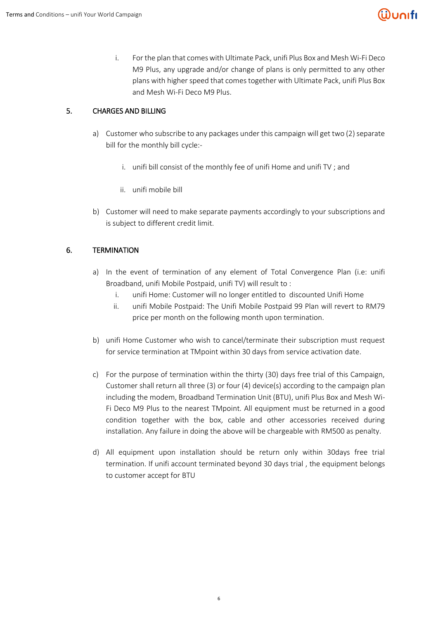# <u> Wunifi</u>

i. For the plan that comes with Ultimate Pack, unifi Plus Box and Mesh Wi-Fi Deco M9 Plus, any upgrade and/or change of plans is only permitted to any other plans with higher speed that comes together with Ultimate Pack, unifi Plus Box and Mesh Wi-Fi Deco M9 Plus.

## 5. CHARGES AND BILLING

- a) Customer who subscribe to any packages under this campaign will get two (2) separate bill for the monthly bill cycle:
	- i. unifi bill consist of the monthly fee of unifi Home and unifi TV ; and
	- ii. unifi mobile bill
- b) Customer will need to make separate payments accordingly to your subscriptions and is subject to different credit limit.

### 6. TERMINATION

- a) In the event of termination of any element of Total Convergence Plan (i.e: unifi Broadband, unifi Mobile Postpaid, unifi TV) will result to :
	- i. unifi Home: Customer will no longer entitled to discounted Unifi Home
	- ii. unifi Mobile Postpaid: The Unifi Mobile Postpaid 99 Plan will revert to RM79 price per month on the following month upon termination.
- b) unifi Home Customer who wish to cancel/terminate their subscription must request for service termination at TMpoint within 30 days from service activation date.
- c) For the purpose of termination within the thirty (30) days free trial of this Campaign, Customer shall return all three (3) or four (4) device(s) according to the campaign plan including the modem, Broadband Termination Unit (BTU), unifi Plus Box and Mesh Wi-Fi Deco M9 Plus to the nearest TMpoint. All equipment must be returned in a good condition together with the box, cable and other accessories received during installation. Any failure in doing the above will be chargeable with RM500 as penalty.
- d) All equipment upon installation should be return only within 30days free trial termination. If unifi account terminated beyond 30 days trial , the equipment belongs to customer accept for BTU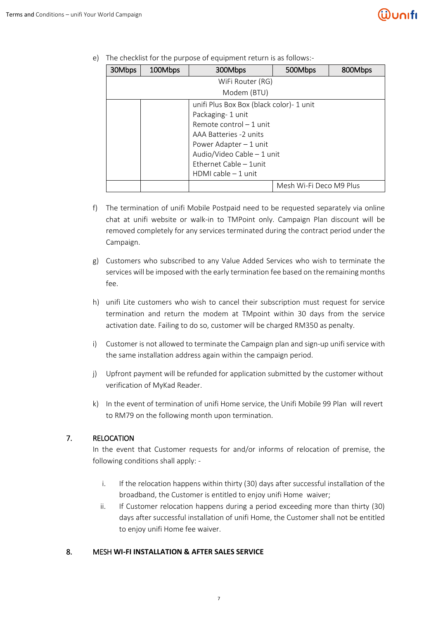e) The checklist for the purpose of equipment return is as follows:-

| 30Mbps           | 100Mbps                                  | 300Mbps                | 500Mbps                 | 800Mbps |
|------------------|------------------------------------------|------------------------|-------------------------|---------|
| WiFi Router (RG) |                                          |                        |                         |         |
| Modem (BTU)      |                                          |                        |                         |         |
|                  | unifi Plus Box Box (black color)- 1 unit |                        |                         |         |
|                  | Packaging-1 unit                         |                        |                         |         |
|                  | Remote control $-1$ unit                 |                        |                         |         |
|                  | AAA Batteries -2 units                   |                        |                         |         |
|                  | Power Adapter $-1$ unit                  |                        |                         |         |
|                  | Audio/Video Cable - 1 unit               |                        |                         |         |
|                  | Ethernet Cable - 1 unit                  |                        |                         |         |
|                  |                                          | $HDMI$ cable $-1$ unit |                         |         |
|                  |                                          |                        | Mesh Wi-Fi Deco M9 Plus |         |

- f) The termination of unifi Mobile Postpaid need to be requested separately via online chat at unifi website or walk-in to TMPoint only. Campaign Plan discount will be removed completely for any services terminated during the contract period under the Campaign.
- g) Customers who subscribed to any Value Added Services who wish to terminate the services will be imposed with the early termination fee based on the remaining months fee.
- h) unifi Lite customers who wish to cancel their subscription must request for service termination and return the modem at TMpoint within 30 days from the service activation date. Failing to do so, customer will be charged RM350 as penalty.
- i) Customer is not allowed to terminate the Campaign plan and sign-up unifi service with the same installation address again within the campaign period.
- j) Upfront payment will be refunded for application submitted by the customer without verification of MyKad Reader.
- k) In the event of termination of unifi Home service, the Unifi Mobile 99 Plan will revert to RM79 on the following month upon termination.

## 7. RELOCATION

In the event that Customer requests for and/or informs of relocation of premise, the following conditions shall apply: -

- i. If the relocation happens within thirty (30) days after successful installation of the broadband, the Customer is entitled to enjoy unifi Home waiver;
- ii. If Customer relocation happens during a period exceeding more than thirty (30) days after successful installation of unifi Home, the Customer shall not be entitled to enjoy unifi Home fee waiver.

### 8. MESH **WI-FI INSTALLATION & AFTER SALES SERVICE**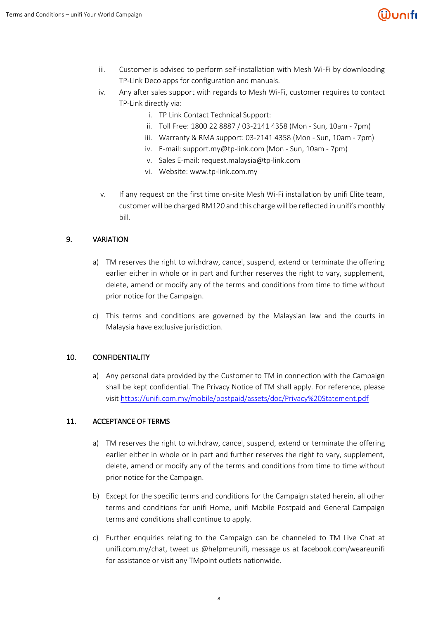# ີຟິບດເfເ

- iii. Customer is advised to perform self-installation with Mesh Wi-Fi by downloading TP-Link Deco apps for configuration and manuals.
- iv. Any after sales support with regards to Mesh Wi-Fi, customer requires to contact TP-Link directly via:
	- i. TP Link Contact Technical Support:
	- ii. Toll Free: 1800 22 8887 / 03-2141 4358 (Mon Sun, 10am 7pm)
	- iii. Warranty & RMA support: 03-2141 4358 (Mon Sun, 10am 7pm)
	- iv. E-mail: support.my@tp-link.com (Mon Sun, 10am 7pm)
	- v. Sales E-mail: request.malaysia@tp-link.com
	- vi. Website: [www.tp-link.com.my](http://www.tp-link.com.my/)
- v. If any request on the first time on-site Mesh Wi-Fi installation by unifi Elite team, customer will be charged RM120 and this charge will be reflected in unifi's monthly bill.

### 9. VARIATION

- a) TM reserves the right to withdraw, cancel, suspend, extend or terminate the offering earlier either in whole or in part and further reserves the right to vary, supplement, delete, amend or modify any of the terms and conditions from time to time without prior notice for the Campaign.
- c) This terms and conditions are governed by the Malaysian law and the courts in Malaysia have exclusive jurisdiction.

### 10. CONFIDENTIALITY

a) Any personal data provided by the Customer to TM in connection with the Campaign shall be kept confidential. The Privacy Notice of TM shall apply. For reference, please visit<https://unifi.com.my/mobile/postpaid/assets/doc/Privacy%20Statement.pdf>

### 11. ACCEPTANCE OF TERMS

- a) TM reserves the right to withdraw, cancel, suspend, extend or terminate the offering earlier either in whole or in part and further reserves the right to vary, supplement, delete, amend or modify any of the terms and conditions from time to time without prior notice for the Campaign.
- b) Except for the specific terms and conditions for the Campaign stated herein, all other terms and conditions for unifi Home, unifi Mobile Postpaid and General Campaign terms and conditions shall continue to apply.
- c) Further enquiries relating to the Campaign can be channeled to TM Live Chat at unifi.com.my/chat, tweet us @helpmeunifi, message us at facebook.com/weareunifi for assistance or visit any TMpoint outlets nationwide.